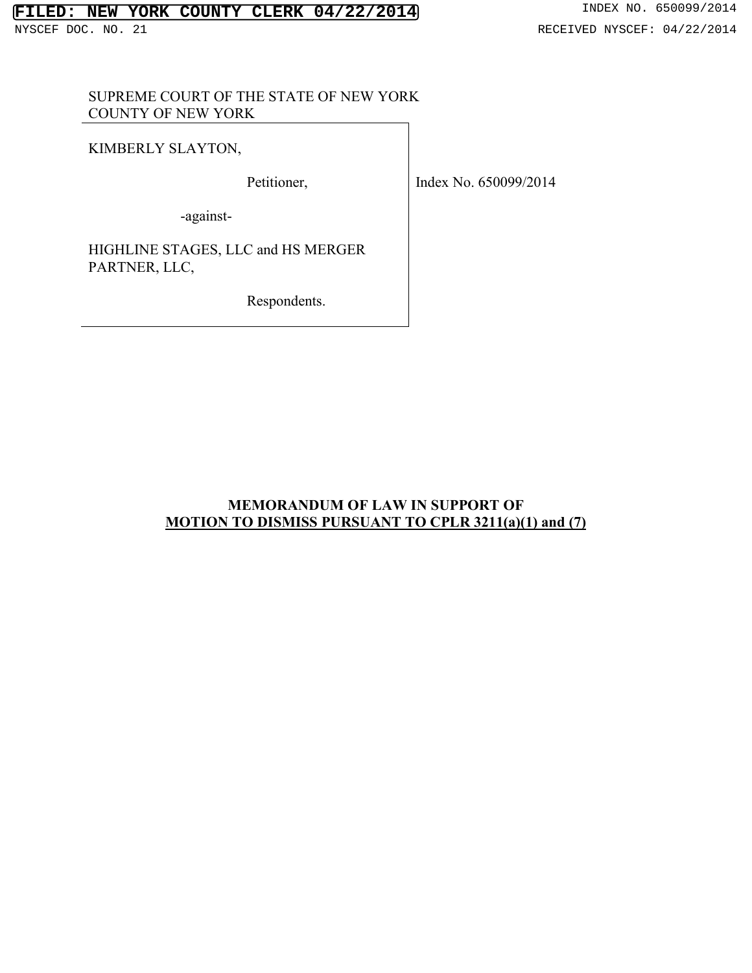### SUPREME COURT OF THE STATE OF NEW YORK COUNTY OF NEW YORK

KIMBERLY SLAYTON,

Petitioner,

Index No. 650099/2014

-against-

HIGHLINE STAGES, LLC and HS MERGER PARTNER, LLC,

Respondents.

### **MEMORANDUM OF LAW IN SUPPORT OF MOTION TO DISMISS PURSUANT TO CPLR 3211(a)(1) and (7)**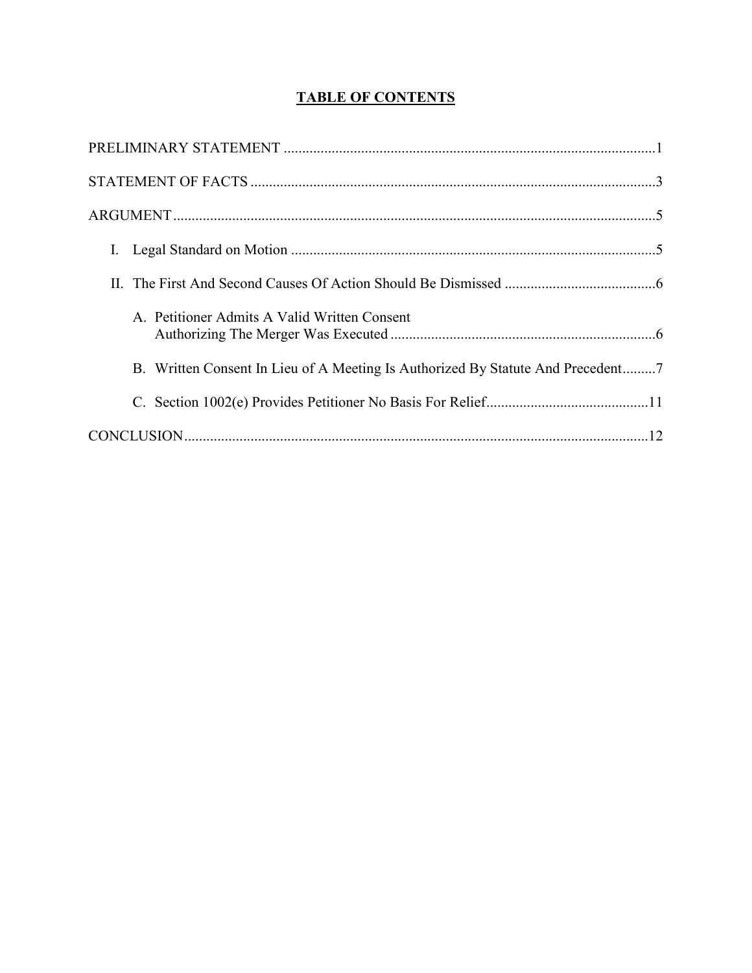# **TABLE OF CONTENTS**

| A. Petitioner Admits A Valid Written Consent |
|----------------------------------------------|
|                                              |
|                                              |
|                                              |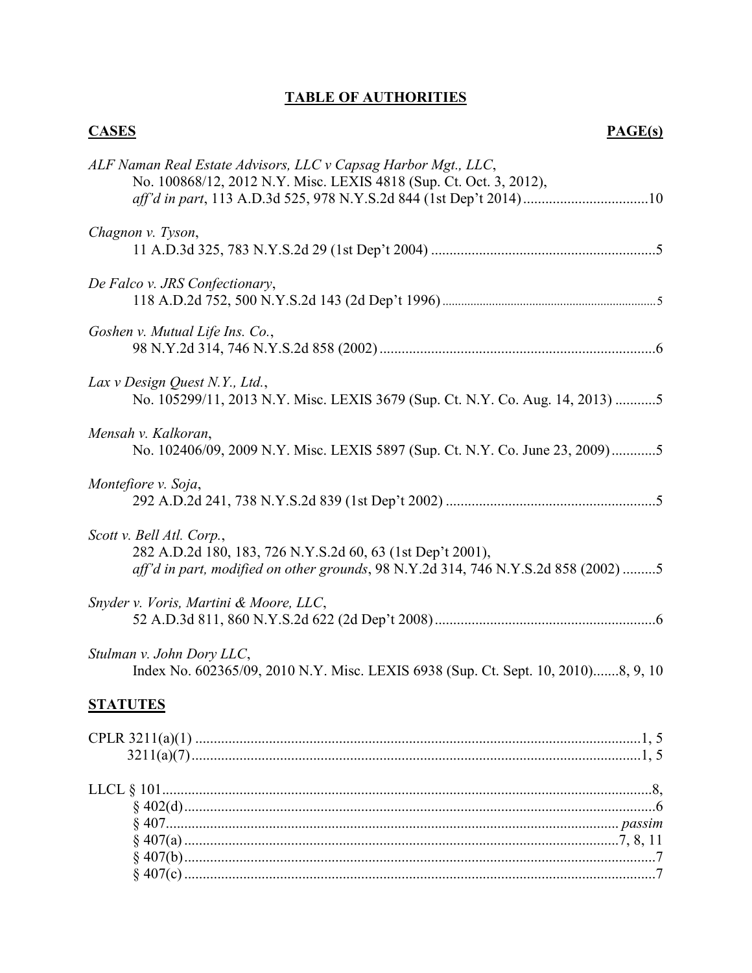# **TABLE OF AUTHORITIES**

| <b>CASES</b><br>PAGE(s)                                                                                                                                                       |
|-------------------------------------------------------------------------------------------------------------------------------------------------------------------------------|
| ALF Naman Real Estate Advisors, LLC v Capsag Harbor Mgt., LLC,<br>No. 100868/12, 2012 N.Y. Misc. LEXIS 4818 (Sup. Ct. Oct. 3, 2012),                                          |
| Chagnon v. Tyson,                                                                                                                                                             |
| De Falco v. JRS Confectionary,                                                                                                                                                |
| Goshen v. Mutual Life Ins. Co.,                                                                                                                                               |
| Lax v Design Quest N.Y., Ltd.,<br>No. 105299/11, 2013 N.Y. Misc. LEXIS 3679 (Sup. Ct. N.Y. Co. Aug. 14, 2013) 5                                                               |
| Mensah v. Kalkoran,<br>No. 102406/09, 2009 N.Y. Misc. LEXIS 5897 (Sup. Ct. N.Y. Co. June 23, 2009)5                                                                           |
| Montefiore v. Soja,                                                                                                                                                           |
| Scott v. Bell Atl. Corp.,<br>282 A.D.2d 180, 183, 726 N.Y.S.2d 60, 63 (1st Dep't 2001),<br>aff'd in part, modified on other grounds, 98 N.Y.2d 314, 746 N.Y.S.2d 858 (2002) 5 |
| Snyder v. Voris, Martini & Moore, LLC,                                                                                                                                        |
| Stulman v. John Dory LLC,<br>Index No. 602365/09, 2010 N.Y. Misc. LEXIS 6938 (Sup. Ct. Sept. 10, 2010)8, 9, 10                                                                |
| <b>STATUTES</b>                                                                                                                                                               |
|                                                                                                                                                                               |
|                                                                                                                                                                               |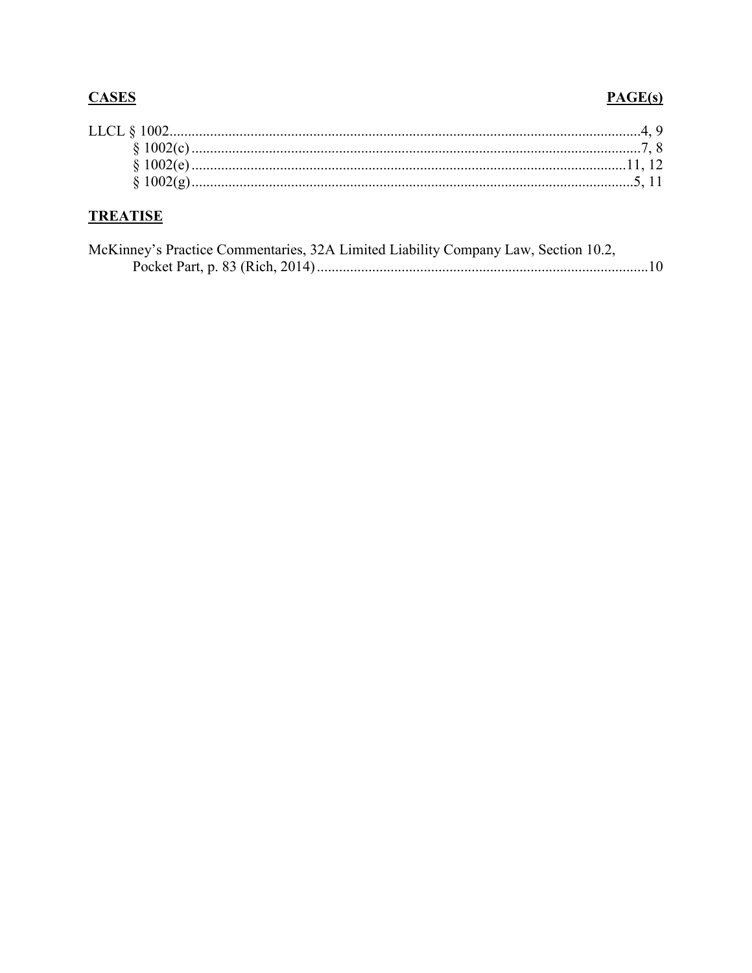# **CASES**

### $PAGE(s)$

| LLCL § 1002. |  |
|--------------|--|
|              |  |
|              |  |
|              |  |
|              |  |

# **TREATISE**

| McKinney's Practice Commentaries, 32A Limited Liability Company Law, Section 10.2, |  |
|------------------------------------------------------------------------------------|--|
|                                                                                    |  |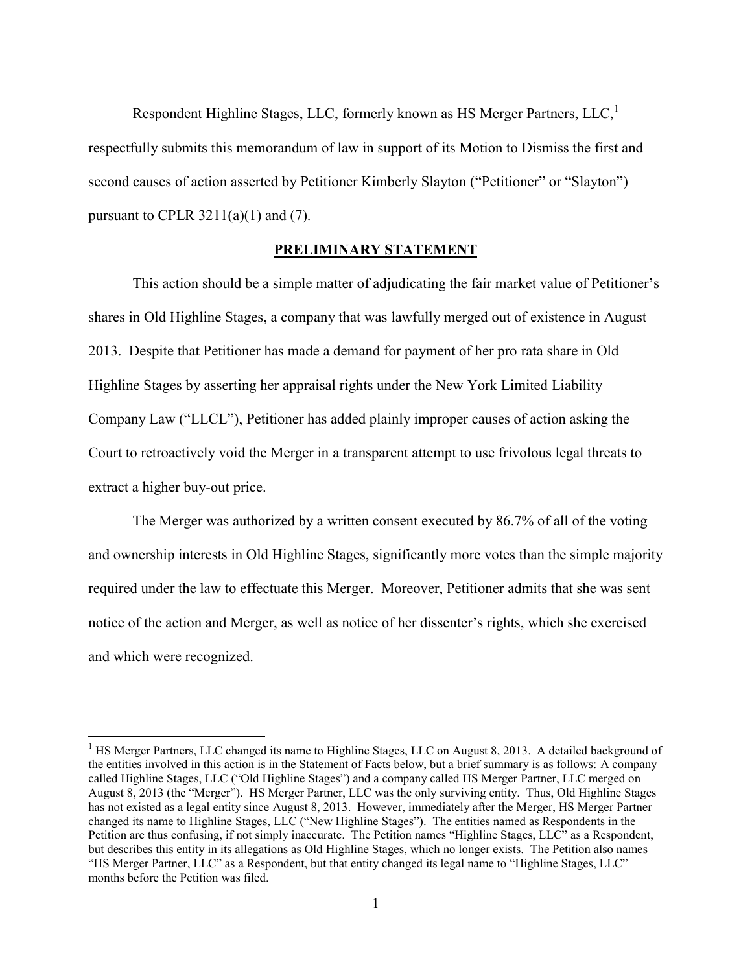Respondent Highline Stages, LLC, formerly known as HS Merger Partners, LLC, $<sup>1</sup>$ </sup> respectfully submits this memorandum of law in support of its Motion to Dismiss the first and second causes of action asserted by Petitioner Kimberly Slayton ("Petitioner" or "Slayton") pursuant to CPLR  $3211(a)(1)$  and (7).

#### **PRELIMINARY STATEMENT**

This action should be a simple matter of adjudicating the fair market value of Petitioner's shares in Old Highline Stages, a company that was lawfully merged out of existence in August 2013. Despite that Petitioner has made a demand for payment of her pro rata share in Old Highline Stages by asserting her appraisal rights under the New York Limited Liability Company Law ("LLCL"), Petitioner has added plainly improper causes of action asking the Court to retroactively void the Merger in a transparent attempt to use frivolous legal threats to extract a higher buy-out price.

The Merger was authorized by a written consent executed by 86.7% of all of the voting and ownership interests in Old Highline Stages, significantly more votes than the simple majority required under the law to effectuate this Merger. Moreover, Petitioner admits that she was sent notice of the action and Merger, as well as notice of her dissenter's rights, which she exercised and which were recognized.

 $\overline{a}$ 

<sup>&</sup>lt;sup>1</sup> HS Merger Partners, LLC changed its name to Highline Stages, LLC on August 8, 2013. A detailed background of the entities involved in this action is in the Statement of Facts below, but a brief summary is as follows: A company called Highline Stages, LLC ("Old Highline Stages") and a company called HS Merger Partner, LLC merged on August 8, 2013 (the "Merger"). HS Merger Partner, LLC was the only surviving entity. Thus, Old Highline Stages has not existed as a legal entity since August 8, 2013. However, immediately after the Merger, HS Merger Partner changed its name to Highline Stages, LLC ("New Highline Stages"). The entities named as Respondents in the Petition are thus confusing, if not simply inaccurate. The Petition names "Highline Stages, LLC" as a Respondent, but describes this entity in its allegations as Old Highline Stages, which no longer exists. The Petition also names "HS Merger Partner, LLC" as a Respondent, but that entity changed its legal name to "Highline Stages, LLC" months before the Petition was filed.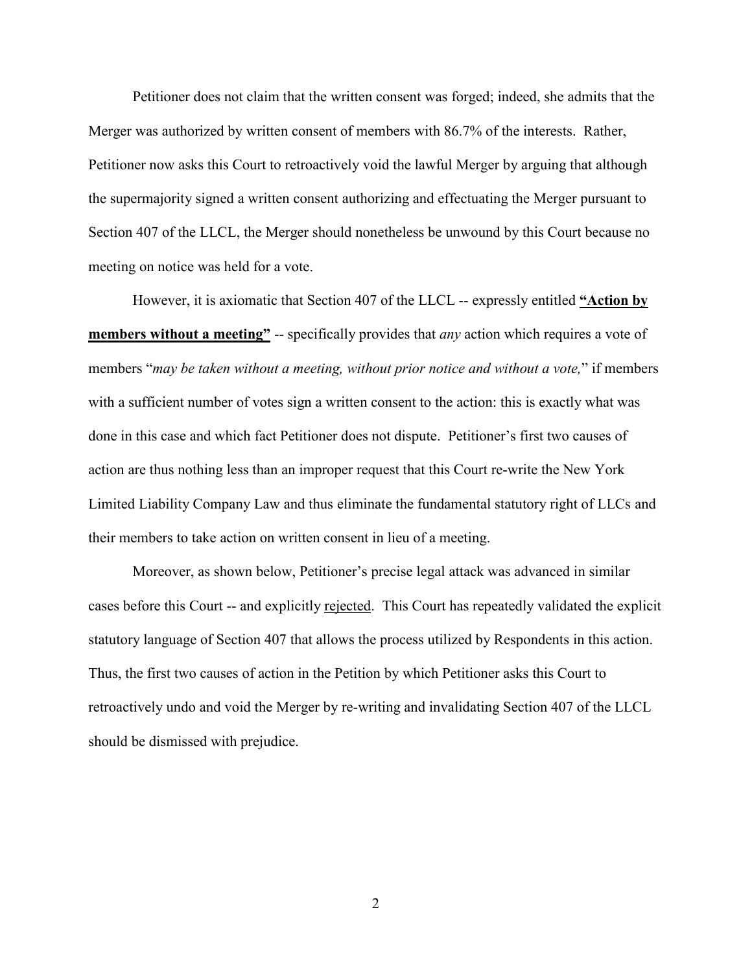Petitioner does not claim that the written consent was forged; indeed, she admits that the Merger was authorized by written consent of members with 86.7% of the interests. Rather, Petitioner now asks this Court to retroactively void the lawful Merger by arguing that although the supermajority signed a written consent authorizing and effectuating the Merger pursuant to Section 407 of the LLCL, the Merger should nonetheless be unwound by this Court because no meeting on notice was held for a vote.

However, it is axiomatic that Section 407 of the LLCL -- expressly entitled **"Action by members without a meeting"** -- specifically provides that *any* action which requires a vote of members "*may be taken without a meeting, without prior notice and without a vote,*" if members with a sufficient number of votes sign a written consent to the action: this is exactly what was done in this case and which fact Petitioner does not dispute. Petitioner's first two causes of action are thus nothing less than an improper request that this Court re-write the New York Limited Liability Company Law and thus eliminate the fundamental statutory right of LLCs and their members to take action on written consent in lieu of a meeting.

Moreover, as shown below, Petitioner's precise legal attack was advanced in similar cases before this Court -- and explicitly rejected. This Court has repeatedly validated the explicit statutory language of Section 407 that allows the process utilized by Respondents in this action. Thus, the first two causes of action in the Petition by which Petitioner asks this Court to retroactively undo and void the Merger by re-writing and invalidating Section 407 of the LLCL should be dismissed with prejudice.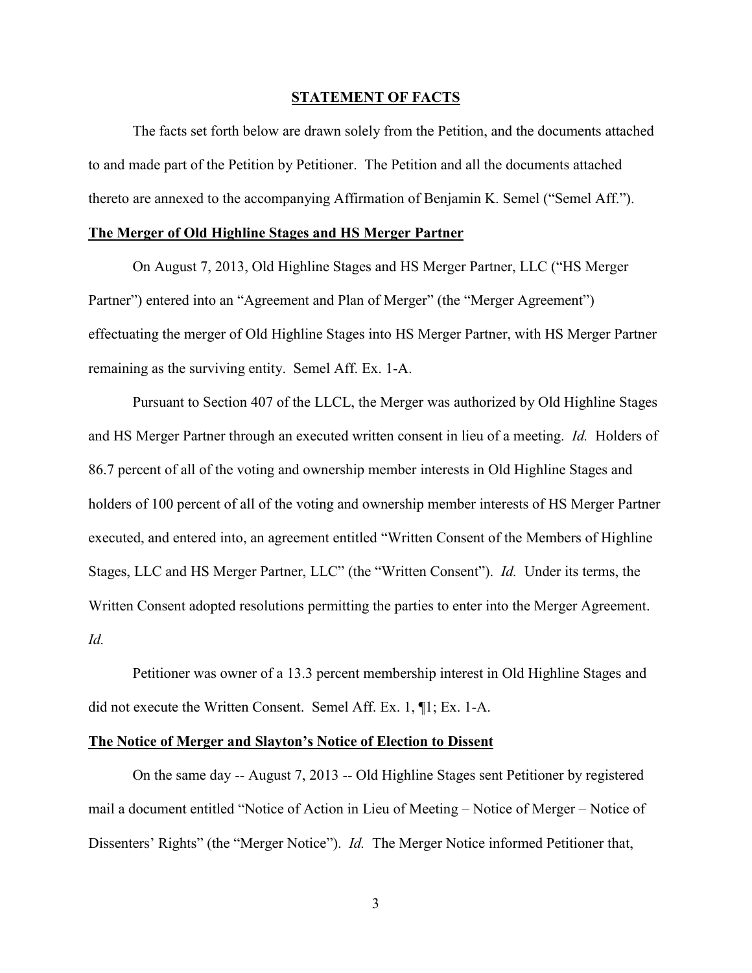#### **STATEMENT OF FACTS**

The facts set forth below are drawn solely from the Petition, and the documents attached to and made part of the Petition by Petitioner. The Petition and all the documents attached thereto are annexed to the accompanying Affirmation of Benjamin K. Semel ("Semel Aff.").

#### **The Merger of Old Highline Stages and HS Merger Partner**

On August 7, 2013, Old Highline Stages and HS Merger Partner, LLC ("HS Merger Partner") entered into an "Agreement and Plan of Merger" (the "Merger Agreement") effectuating the merger of Old Highline Stages into HS Merger Partner, with HS Merger Partner remaining as the surviving entity. Semel Aff. Ex. 1-A.

Pursuant to Section 407 of the LLCL, the Merger was authorized by Old Highline Stages and HS Merger Partner through an executed written consent in lieu of a meeting. *Id.* Holders of 86.7 percent of all of the voting and ownership member interests in Old Highline Stages and holders of 100 percent of all of the voting and ownership member interests of HS Merger Partner executed, and entered into, an agreement entitled "Written Consent of the Members of Highline Stages, LLC and HS Merger Partner, LLC" (the "Written Consent"). *Id.* Under its terms, the Written Consent adopted resolutions permitting the parties to enter into the Merger Agreement. *Id.*

Petitioner was owner of a 13.3 percent membership interest in Old Highline Stages and did not execute the Written Consent. Semel Aff. Ex. 1, ¶1; Ex. 1-A.

#### **The Notice of Merger and Slayton's Notice of Election to Dissent**

On the same day -- August 7, 2013 -- Old Highline Stages sent Petitioner by registered mail a document entitled "Notice of Action in Lieu of Meeting – Notice of Merger – Notice of Dissenters' Rights" (the "Merger Notice"). *Id.* The Merger Notice informed Petitioner that,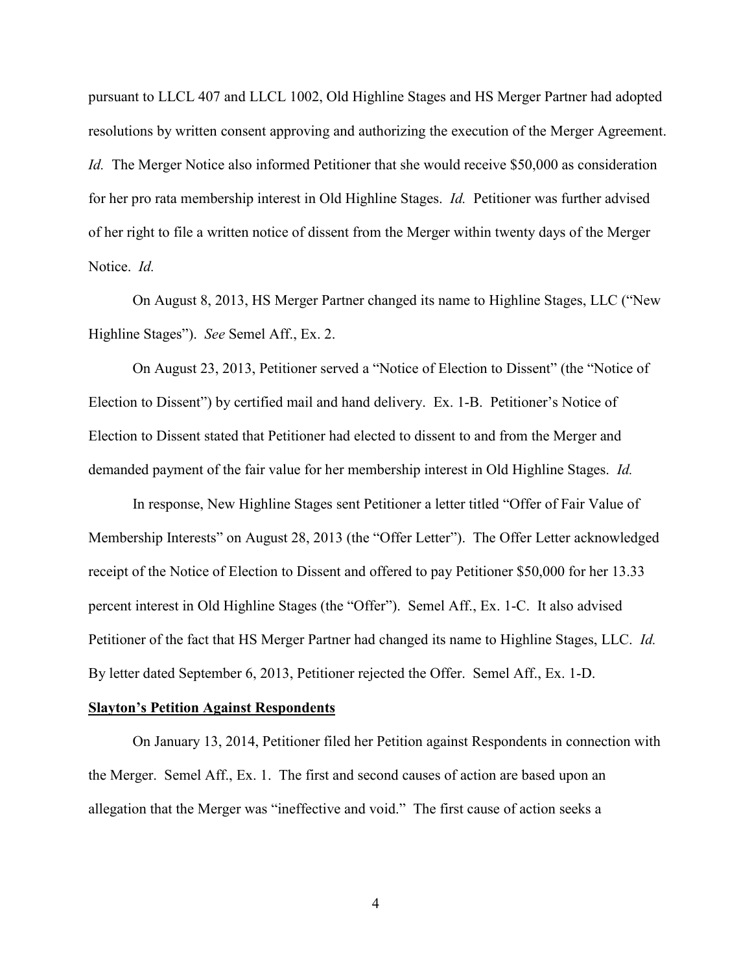pursuant to LLCL 407 and LLCL 1002, Old Highline Stages and HS Merger Partner had adopted resolutions by written consent approving and authorizing the execution of the Merger Agreement. *Id.* The Merger Notice also informed Petitioner that she would receive \$50,000 as consideration for her pro rata membership interest in Old Highline Stages. *Id.* Petitioner was further advised of her right to file a written notice of dissent from the Merger within twenty days of the Merger Notice. *Id.*

On August 8, 2013, HS Merger Partner changed its name to Highline Stages, LLC ("New Highline Stages"). *See* Semel Aff., Ex. 2.

On August 23, 2013, Petitioner served a "Notice of Election to Dissent" (the "Notice of Election to Dissent") by certified mail and hand delivery. Ex. 1-B. Petitioner's Notice of Election to Dissent stated that Petitioner had elected to dissent to and from the Merger and demanded payment of the fair value for her membership interest in Old Highline Stages. *Id.*

In response, New Highline Stages sent Petitioner a letter titled "Offer of Fair Value of Membership Interests" on August 28, 2013 (the "Offer Letter"). The Offer Letter acknowledged receipt of the Notice of Election to Dissent and offered to pay Petitioner \$50,000 for her 13.33 percent interest in Old Highline Stages (the "Offer"). Semel Aff., Ex. 1-C. It also advised Petitioner of the fact that HS Merger Partner had changed its name to Highline Stages, LLC. *Id.* By letter dated September 6, 2013, Petitioner rejected the Offer. Semel Aff., Ex. 1-D.

#### **Slayton's Petition Against Respondents**

On January 13, 2014, Petitioner filed her Petition against Respondents in connection with the Merger. Semel Aff., Ex. 1. The first and second causes of action are based upon an allegation that the Merger was "ineffective and void." The first cause of action seeks a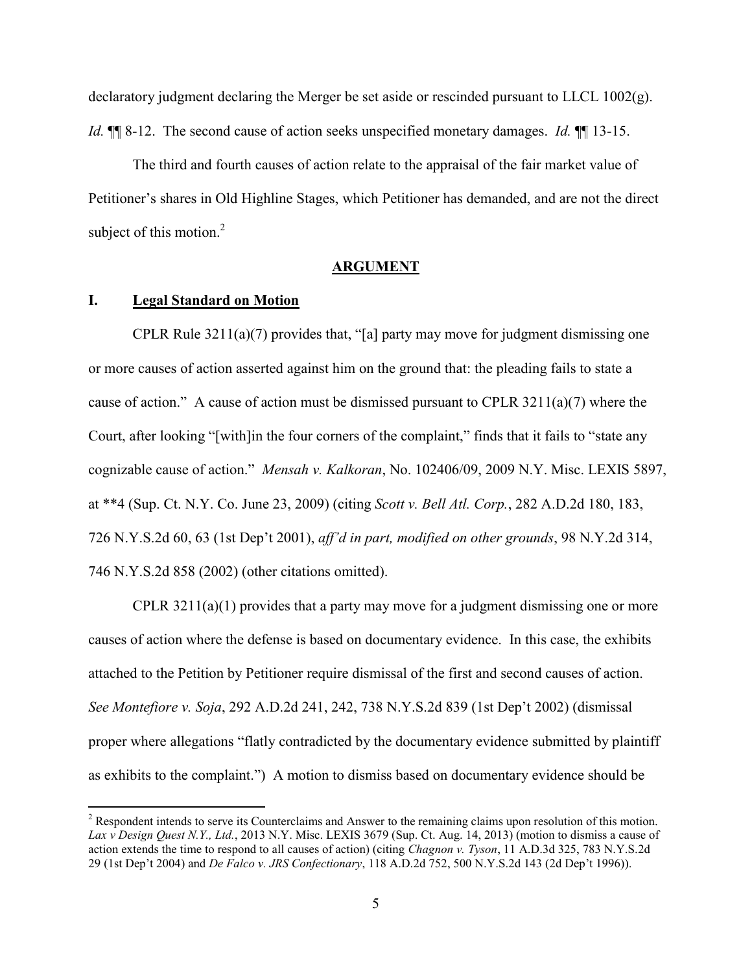declaratory judgment declaring the Merger be set aside or rescinded pursuant to LLCL 1002(g). *Id.* ¶¶ 8-12. The second cause of action seeks unspecified monetary damages. *Id.* ¶¶ 13-15.

The third and fourth causes of action relate to the appraisal of the fair market value of Petitioner's shares in Old Highline Stages, which Petitioner has demanded, and are not the direct subject of this motion.<sup>2</sup>

#### **ARGUMENT**

#### **I. Legal Standard on Motion**

 $\overline{a}$ 

CPLR Rule 3211(a)(7) provides that, "[a] party may move for judgment dismissing one or more causes of action asserted against him on the ground that: the pleading fails to state a cause of action." A cause of action must be dismissed pursuant to CPLR  $3211(a)(7)$  where the Court, after looking "[with]in the four corners of the complaint," finds that it fails to "state any cognizable cause of action." *Mensah v. Kalkoran*, No. 102406/09, 2009 N.Y. Misc. LEXIS 5897, at \*\*4 (Sup. Ct. N.Y. Co. June 23, 2009) (citing *Scott v. Bell Atl. Corp.*, 282 A.D.2d 180, 183, 726 N.Y.S.2d 60, 63 (1st Dep't 2001), *aff'd in part, modified on other grounds*, 98 N.Y.2d 314, 746 N.Y.S.2d 858 (2002) (other citations omitted).

CPLR 3211(a)(1) provides that a party may move for a judgment dismissing one or more causes of action where the defense is based on documentary evidence. In this case, the exhibits attached to the Petition by Petitioner require dismissal of the first and second causes of action. *See Montefiore v. Soja*, 292 A.D.2d 241, 242, 738 N.Y.S.2d 839 (1st Dep't 2002) (dismissal proper where allegations "flatly contradicted by the documentary evidence submitted by plaintiff as exhibits to the complaint.") A motion to dismiss based on documentary evidence should be

<sup>&</sup>lt;sup>2</sup> Respondent intends to serve its Counterclaims and Answer to the remaining claims upon resolution of this motion. *Lax v Design Quest N.Y., Ltd.*, 2013 N.Y. Misc. LEXIS 3679 (Sup. Ct. Aug. 14, 2013) (motion to dismiss a cause of action extends the time to respond to all causes of action) (citing *Chagnon v. Tyson*, 11 A.D.3d 325, 783 N.Y.S.2d 29 (1st Dep't 2004) and *De Falco v. JRS Confectionary*, 118 A.D.2d 752, 500 N.Y.S.2d 143 (2d Dep't 1996)).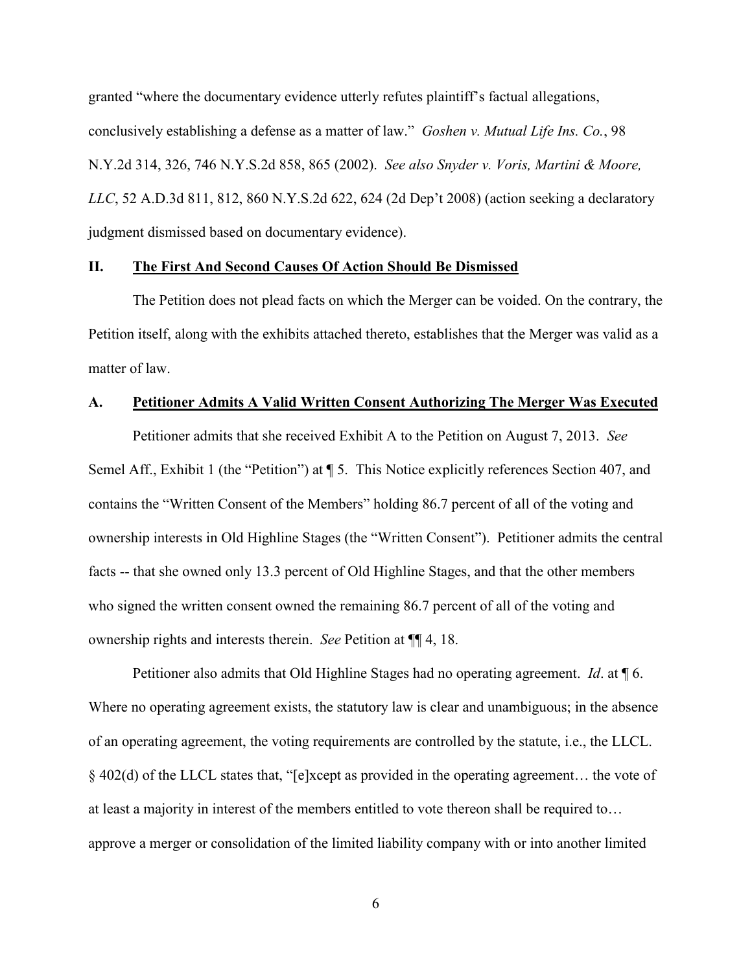granted "where the documentary evidence utterly refutes plaintiff's factual allegations, conclusively establishing a defense as a matter of law." *Goshen v. Mutual Life Ins. Co.*, 98 N.Y.2d 314, 326, 746 N.Y.S.2d 858, 865 (2002). *See also Snyder v. Voris, Martini & Moore, LLC*, 52 A.D.3d 811, 812, 860 N.Y.S.2d 622, 624 (2d Dep't 2008) (action seeking a declaratory judgment dismissed based on documentary evidence).

#### **II. The First And Second Causes Of Action Should Be Dismissed**

The Petition does not plead facts on which the Merger can be voided. On the contrary, the Petition itself, along with the exhibits attached thereto, establishes that the Merger was valid as a matter of law.

#### **A. Petitioner Admits A Valid Written Consent Authorizing The Merger Was Executed**

Petitioner admits that she received Exhibit A to the Petition on August 7, 2013. *See* Semel Aff., Exhibit 1 (the "Petition") at  $\P$  5. This Notice explicitly references Section 407, and contains the "Written Consent of the Members" holding 86.7 percent of all of the voting and ownership interests in Old Highline Stages (the "Written Consent"). Petitioner admits the central facts -- that she owned only 13.3 percent of Old Highline Stages, and that the other members who signed the written consent owned the remaining 86.7 percent of all of the voting and ownership rights and interests therein. *See* Petition at ¶¶ 4, 18.

Petitioner also admits that Old Highline Stages had no operating agreement. *Id*. at ¶ 6. Where no operating agreement exists, the statutory law is clear and unambiguous; in the absence of an operating agreement, the voting requirements are controlled by the statute, i.e., the LLCL. § 402(d) of the LLCL states that, "[e]xcept as provided in the operating agreement… the vote of at least a majority in interest of the members entitled to vote thereon shall be required to… approve a merger or consolidation of the limited liability company with or into another limited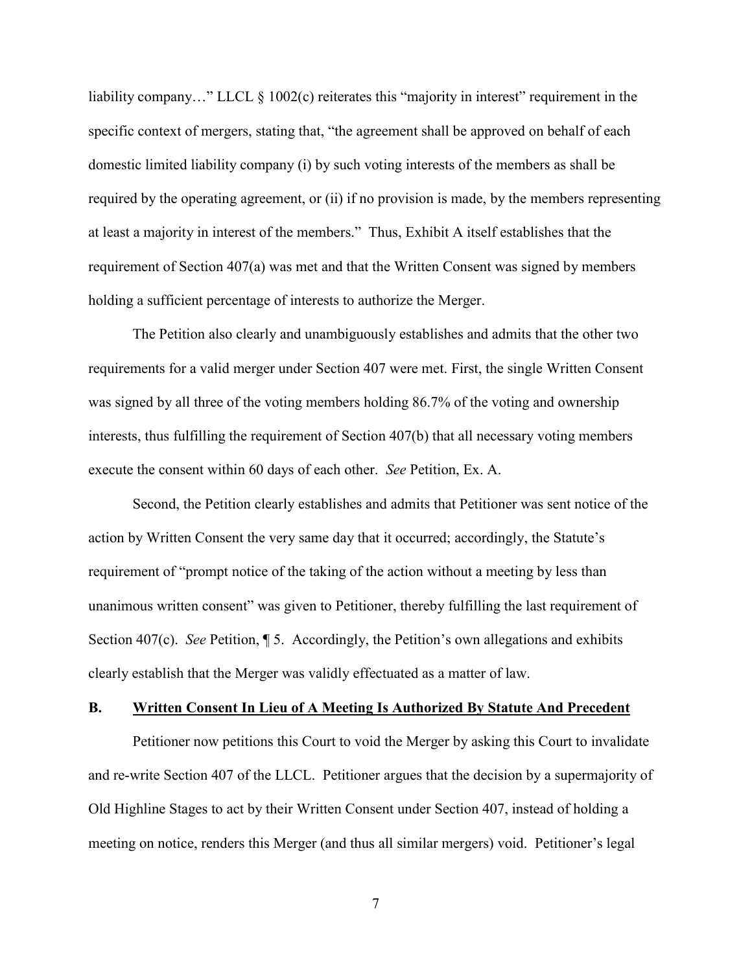liability company..." LLCL § 1002(c) reiterates this "majority in interest" requirement in the specific context of mergers, stating that, "the agreement shall be approved on behalf of each domestic limited liability company (i) by such voting interests of the members as shall be required by the operating agreement, or (ii) if no provision is made, by the members representing at least a majority in interest of the members." Thus, Exhibit A itself establishes that the requirement of Section 407(a) was met and that the Written Consent was signed by members holding a sufficient percentage of interests to authorize the Merger.

The Petition also clearly and unambiguously establishes and admits that the other two requirements for a valid merger under Section 407 were met. First, the single Written Consent was signed by all three of the voting members holding 86.7% of the voting and ownership interests, thus fulfilling the requirement of Section 407(b) that all necessary voting members execute the consent within 60 days of each other. *See* Petition, Ex. A.

Second, the Petition clearly establishes and admits that Petitioner was sent notice of the action by Written Consent the very same day that it occurred; accordingly, the Statute's requirement of "prompt notice of the taking of the action without a meeting by less than unanimous written consent" was given to Petitioner, thereby fulfilling the last requirement of Section 407(c). *See* Petition, ¶ 5. Accordingly, the Petition's own allegations and exhibits clearly establish that the Merger was validly effectuated as a matter of law.

#### **B. Written Consent In Lieu of A Meeting Is Authorized By Statute And Precedent**

Petitioner now petitions this Court to void the Merger by asking this Court to invalidate and re-write Section 407 of the LLCL. Petitioner argues that the decision by a supermajority of Old Highline Stages to act by their Written Consent under Section 407, instead of holding a meeting on notice, renders this Merger (and thus all similar mergers) void. Petitioner's legal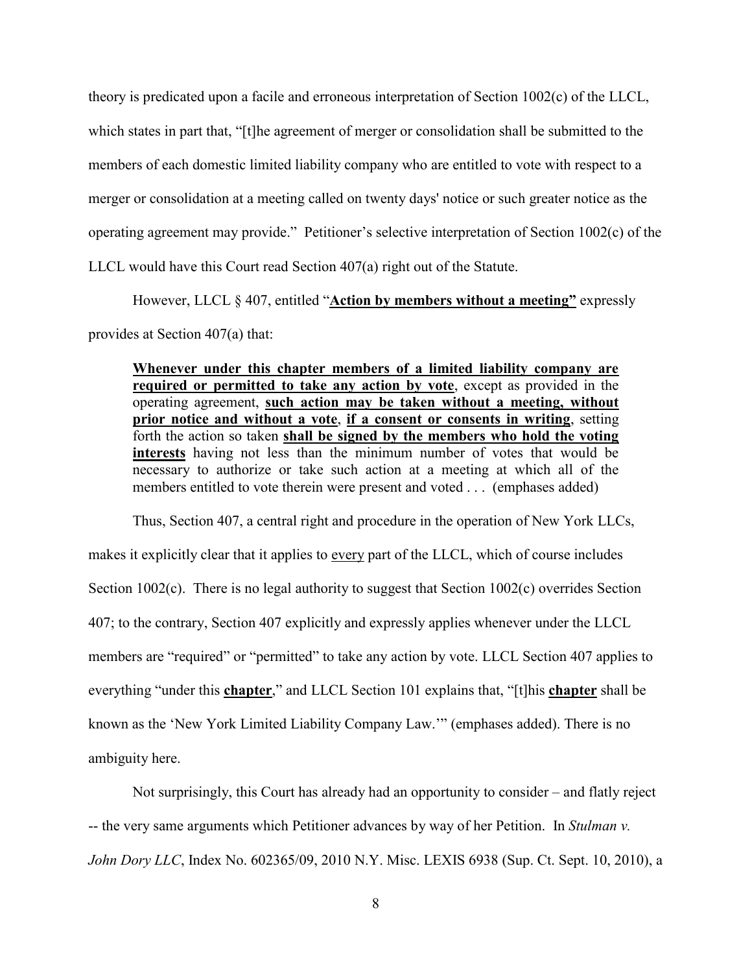theory is predicated upon a facile and erroneous interpretation of Section 1002(c) of the LLCL, which states in part that, "[t]he agreement of merger or consolidation shall be submitted to the members of each domestic limited liability company who are entitled to vote with respect to a merger or consolidation at a meeting called on twenty days' notice or such greater notice as the operating agreement may provide." Petitioner's selective interpretation of Section 1002(c) of the LLCL would have this Court read Section 407(a) right out of the Statute.

However, LLCL § 407, entitled "**Action by members without a meeting"** expressly provides at Section 407(a) that:

**Whenever under this chapter members of a limited liability company are required or permitted to take any action by vote**, except as provided in the operating agreement, **such action may be taken without a meeting, without prior notice and without a vote**, **if a consent or consents in writing**, setting forth the action so taken **shall be signed by the members who hold the voting interests** having not less than the minimum number of votes that would be necessary to authorize or take such action at a meeting at which all of the members entitled to vote therein were present and voted . . . (emphases added)

Thus, Section 407, a central right and procedure in the operation of New York LLCs, makes it explicitly clear that it applies to every part of the LLCL, which of course includes Section 1002(c). There is no legal authority to suggest that Section 1002(c) overrides Section 407; to the contrary, Section 407 explicitly and expressly applies whenever under the LLCL members are "required" or "permitted" to take any action by vote. LLCL Section 407 applies to everything "under this **chapter**," and LLCL Section 101 explains that, "[t]his **chapter** shall be known as the 'New York Limited Liability Company Law.'" (emphases added). There is no ambiguity here.

Not surprisingly, this Court has already had an opportunity to consider – and flatly reject -- the very same arguments which Petitioner advances by way of her Petition. In *Stulman v. John Dory LLC*, Index No. 602365/09, 2010 N.Y. Misc. LEXIS 6938 (Sup. Ct. Sept. 10, 2010), a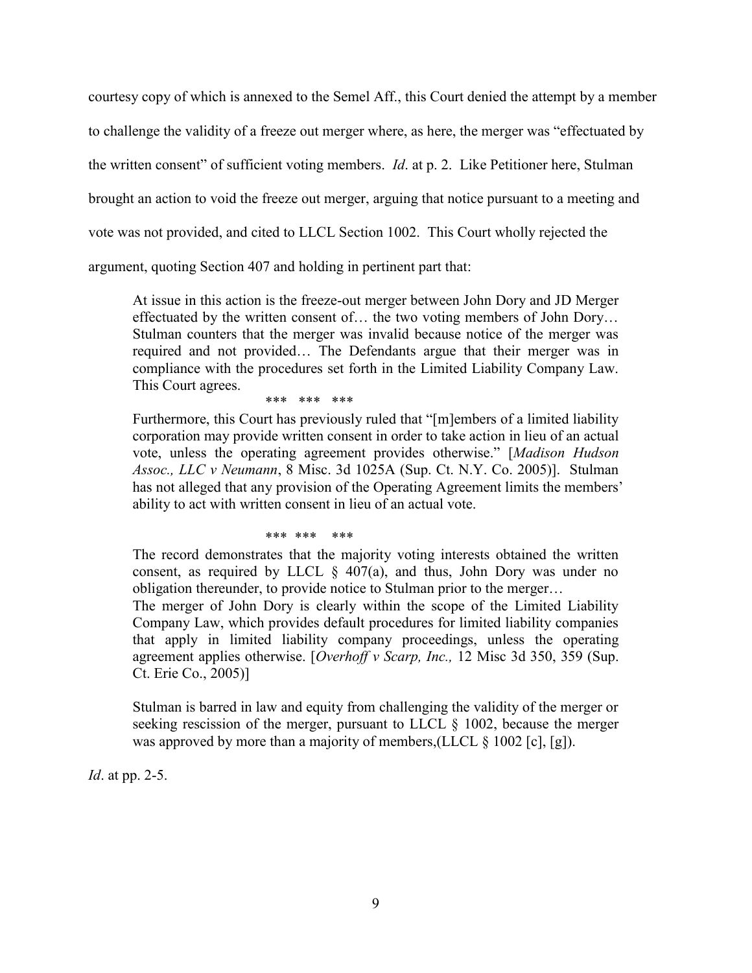courtesy copy of which is annexed to the Semel Aff., this Court denied the attempt by a member to challenge the validity of a freeze out merger where, as here, the merger was "effectuated by the written consent" of sufficient voting members. *Id*. at p. 2. Like Petitioner here, Stulman brought an action to void the freeze out merger, arguing that notice pursuant to a meeting and vote was not provided, and cited to LLCL Section 1002. This Court wholly rejected the argument, quoting Section 407 and holding in pertinent part that:

At issue in this action is the freeze-out merger between John Dory and JD Merger effectuated by the written consent of… the two voting members of John Dory… Stulman counters that the merger was invalid because notice of the merger was required and not provided… The Defendants argue that their merger was in compliance with the procedures set forth in the Limited Liability Company Law. This Court agrees.

\*\*\* \*\*\* \*\*\*

Furthermore, this Court has previously ruled that "[m]embers of a limited liability corporation may provide written consent in order to take action in lieu of an actual vote, unless the operating agreement provides otherwise." [*Madison Hudson Assoc., LLC v Neumann*, 8 Misc. 3d 1025A (Sup. Ct. N.Y. Co. 2005)]. Stulman has not alleged that any provision of the Operating Agreement limits the members' ability to act with written consent in lieu of an actual vote.

#### \*\*\* \*\*\* \*\*\*

The record demonstrates that the majority voting interests obtained the written consent, as required by LLCL  $\S$  407(a), and thus, John Dory was under no obligation thereunder, to provide notice to Stulman prior to the merger…

The merger of John Dory is clearly within the scope of the Limited Liability Company Law, which provides default procedures for limited liability companies that apply in limited liability company proceedings, unless the operating agreement applies otherwise. [*Overhoff v Scarp, Inc.,* 12 Misc 3d 350, 359 (Sup. Ct. Erie Co., 2005)]

Stulman is barred in law and equity from challenging the validity of the merger or seeking rescission of the merger, pursuant to LLCL § 1002, because the merger was approved by more than a majority of members,(LLCL § 1002 [c], [g]).

*Id*. at pp. 2-5.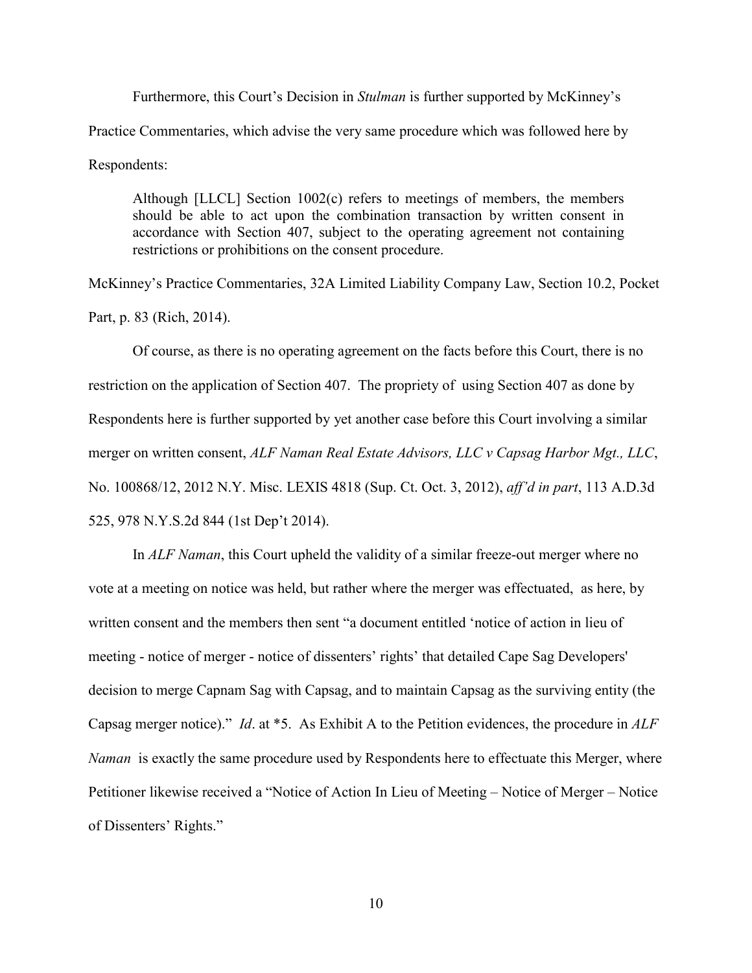Furthermore, this Court's Decision in *Stulman* is further supported by McKinney's Practice Commentaries, which advise the very same procedure which was followed here by Respondents:

Although [LLCL] Section 1002(c) refers to meetings of members, the members should be able to act upon the combination transaction by written consent in accordance with Section 407, subject to the operating agreement not containing restrictions or prohibitions on the consent procedure.

McKinney's Practice Commentaries, 32A Limited Liability Company Law, Section 10.2, Pocket Part, p. 83 (Rich, 2014).

Of course, as there is no operating agreement on the facts before this Court, there is no restriction on the application of Section 407. The propriety of using Section 407 as done by Respondents here is further supported by yet another case before this Court involving a similar merger on written consent, *ALF Naman Real Estate Advisors, LLC v Capsag Harbor Mgt., LLC*, No. 100868/12, 2012 N.Y. Misc. LEXIS 4818 (Sup. Ct. Oct. 3, 2012), *aff'd in part*, 113 A.D.3d 525, 978 N.Y.S.2d 844 (1st Dep't 2014).

In *ALF Naman*, this Court upheld the validity of a similar freeze-out merger where no vote at a meeting on notice was held, but rather where the merger was effectuated, as here, by written consent and the members then sent "a document entitled 'notice of action in lieu of meeting - notice of merger - notice of dissenters' rights' that detailed Cape Sag Developers' decision to merge Capnam Sag with Capsag, and to maintain Capsag as the surviving entity (the Capsag merger notice)." *Id*. at \*5. As Exhibit A to the Petition evidences, the procedure in *ALF Naman* is exactly the same procedure used by Respondents here to effectuate this Merger, where Petitioner likewise received a "Notice of Action In Lieu of Meeting – Notice of Merger – Notice of Dissenters' Rights."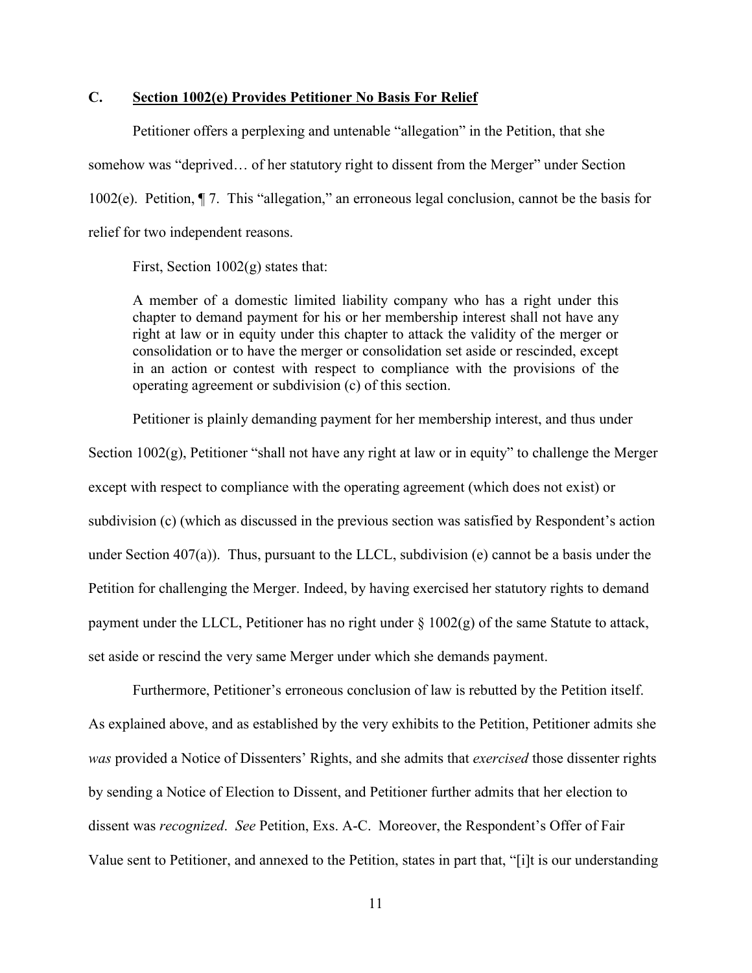### **C. Section 1002(e) Provides Petitioner No Basis For Relief**

Petitioner offers a perplexing and untenable "allegation" in the Petition, that she somehow was "deprived… of her statutory right to dissent from the Merger" under Section 1002(e). Petition, ¶ 7. This "allegation," an erroneous legal conclusion, cannot be the basis for relief for two independent reasons.

First, Section  $1002(g)$  states that:

A member of a domestic limited liability company who has a right under this chapter to demand payment for his or her membership interest shall not have any right at law or in equity under this chapter to attack the validity of the merger or consolidation or to have the merger or consolidation set aside or rescinded, except in an action or contest with respect to compliance with the provisions of the operating agreement or subdivision (c) of this section.

Petitioner is plainly demanding payment for her membership interest, and thus under

Section 1002(g), Petitioner "shall not have any right at law or in equity" to challenge the Merger except with respect to compliance with the operating agreement (which does not exist) or subdivision (c) (which as discussed in the previous section was satisfied by Respondent's action under Section 407(a)). Thus, pursuant to the LLCL, subdivision (e) cannot be a basis under the Petition for challenging the Merger. Indeed, by having exercised her statutory rights to demand payment under the LLCL, Petitioner has no right under § 1002(g) of the same Statute to attack, set aside or rescind the very same Merger under which she demands payment.

Furthermore, Petitioner's erroneous conclusion of law is rebutted by the Petition itself. As explained above, and as established by the very exhibits to the Petition, Petitioner admits she *was* provided a Notice of Dissenters' Rights, and she admits that *exercised* those dissenter rights by sending a Notice of Election to Dissent, and Petitioner further admits that her election to dissent was *recognized*. *See* Petition, Exs. A-C. Moreover, the Respondent's Offer of Fair Value sent to Petitioner, and annexed to the Petition, states in part that, "[i]t is our understanding